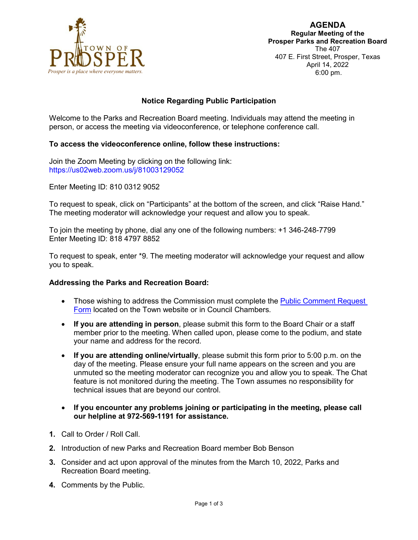

## **Notice Regarding Public Participation**

Welcome to the Parks and Recreation Board meeting. Individuals may attend the meeting in person, or access the meeting via videoconference, or telephone conference call.

### **To access the videoconference online, follow these instructions:**

Join the Zoom Meeting by clicking on the following link: https://us02web.zoom.us/j/81003129052

Enter Meeting ID: 810 0312 9052

To request to speak, click on "Participants" at the bottom of the screen, and click "Raise Hand." The meeting moderator will acknowledge your request and allow you to speak.

To join the meeting by phone, dial any one of the following numbers: +1 346-248-7799 Enter Meeting ID: 818 4797 8852

To request to speak, enter \*9. The meeting moderator will acknowledge your request and allow you to speak.

#### **Addressing the Parks and Recreation Board:**

- Those wishing to address the Commission must complete the **Public Comment Request** [Form](https://lf.prospertx.gov/Forms/PCRF) located on the Town website or in Council Chambers.
- **If you are attending in person**, please submit this form to the Board Chair or a staff member prior to the meeting. When called upon, please come to the podium, and state your name and address for the record.
- **If you are attending online/virtually**, please submit this form prior to 5:00 p.m. on the day of the meeting. Please ensure your full name appears on the screen and you are unmuted so the meeting moderator can recognize you and allow you to speak. The Chat feature is not monitored during the meeting. The Town assumes no responsibility for technical issues that are beyond our control.
- **If you encounter any problems joining or participating in the meeting, please call our helpline at 972-569-1191 for assistance.**
- **1.** Call to Order / Roll Call.
- **2.** Introduction of new Parks and Recreation Board member Bob Benson
- **3.** Consider and act upon approval of the minutes from the March 10, 2022, Parks and Recreation Board meeting.
- **4.** Comments by the Public.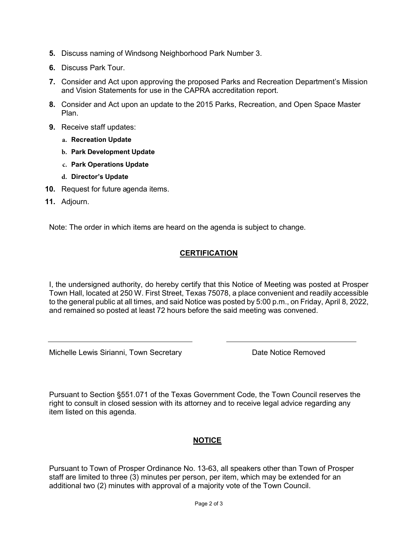- **5.** Discuss naming of Windsong Neighborhood Park Number 3.
- **6.** Discuss Park Tour.
- **7.** Consider and Act upon approving the proposed Parks and Recreation Department's Mission and Vision Statements for use in the CAPRA accreditation report.
- **8.** Consider and Act upon an update to the 2015 Parks, Recreation, and Open Space Master Plan.
- **9.** Receive staff updates:
	- **a. Recreation Update**
	- **b. Park Development Update**
	- **c. Park Operations Update**
	- **d. Director's Update**
- **10.** Request for future agenda items.
- **11.** Adjourn.

Note: The order in which items are heard on the agenda is subject to change.

# **CERTIFICATION**

I, the undersigned authority, do hereby certify that this Notice of Meeting was posted at Prosper Town Hall, located at 250 W. First Street, Texas 75078, a place convenient and readily accessible to the general public at all times, and said Notice was posted by 5:00 p.m., on Friday, April 8, 2022, and remained so posted at least 72 hours before the said meeting was convened.

Michelle Lewis Sirianni, Town Secretary **Nichelle Lewis Sirianni**, Town Secretary

Pursuant to Section §551.071 of the Texas Government Code, the Town Council reserves the right to consult in closed session with its attorney and to receive legal advice regarding any item listed on this agenda.

## **NOTICE**

Pursuant to Town of Prosper Ordinance No. 13-63, all speakers other than Town of Prosper staff are limited to three (3) minutes per person, per item, which may be extended for an additional two (2) minutes with approval of a majority vote of the Town Council.